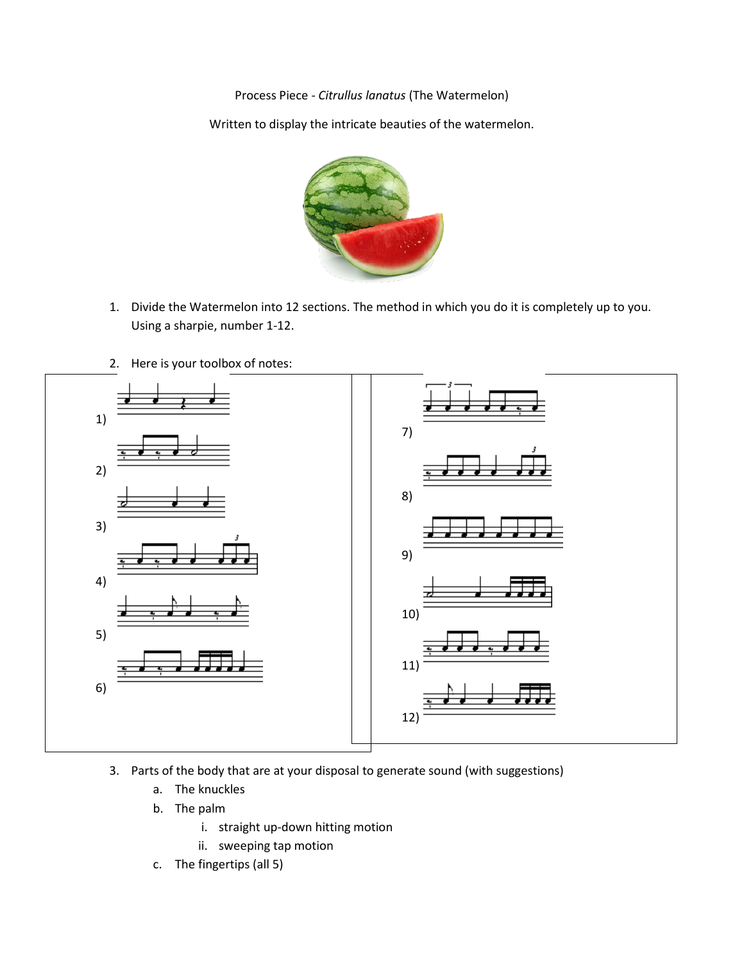Process Piece - *Citrullus lanatus* (The Watermelon)

Written to display the intricate beauties of the watermelon.



- 1. Divide the Watermelon into 12 sections. The method in which you do it is completely up to you. Using a sharpie, number 1-12.
- 2. Here is your toolbox of notes:



- 3. Parts of the body that are at your disposal to generate sound (with suggestions)
	- a. The knuckles
	- b. The palm
		- i. straight up-down hitting motion
		- ii. sweeping tap motion
	- c. The fingertips (all 5)